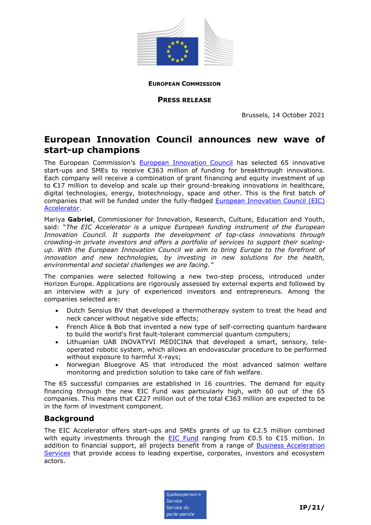

**EUROPEAN COMMISSION**

**PRESS RELEASE**

Brussels, 14 October 2021

## **European Innovation Council announces new wave of start-up champions**

The European Commission's [European Innovation Council](https://eic.ec.europa.eu/index_en) has selected 65 innovative start-ups and SMEs to receive €363 million of funding for breakthrough innovations. Each company will receive a combination of grant financing and equity investment of up to €17 million to develop and scale up their ground-breaking innovations in healthcare, digital technologies, energy, biotechnology, space and other. This is the first batch of companies that will be funded under the fully-fledged **European Innovation Council (EIC)** [Accelerator.](https://eic.ec.europa.eu/eic-funding-opportunities/eic-accelerator_en)

Mariya **Gabriel**, Commissioner for Innovation, Research, Culture, Education and Youth, said: "*The EIC Accelerator is a unique European funding instrument of the European Innovation Council. It supports the development of top-class innovations through crowding-in private investors and offers a portfolio of services to support their scalingup. With the European Innovation Council we aim to bring Europe to the forefront of innovation and new technologies, by investing in new solutions for the health, environmental and societal challenges we are facing."*

The companies were selected following a new two-step process, introduced under Horizon Europe. Applications are rigorously assessed by external experts and followed by an interview with a jury of experienced investors and entrepreneurs. Among the companies selected are:

- Dutch Sensius BV that developed a thermotherapy system to treat the head and neck cancer without negative side effects;
- French Alice & Bob that invented a new type of self-correcting quantum hardware to build the world's first fault-tolerant commercial quantum computers;
- Lithuanian UAB INOVATYVI MEDICINA that developed a smart, sensory, teleoperated robotic system, which allows an endovascular procedure to be performed without exposure to harmful X-rays;
- Norwegian Bluegrove AS that introduced the most advanced salmon welfare monitoring and prediction solution to take care of fish welfare.

The 65 successful companies are established in 16 countries. The demand for equity financing through the new EIC Fund was particularly high, with 60 out of the 65 companies. This means that €227 million out of the total €363 million are expected to be in the form of investment component.

## **Background**

The EIC Accelerator offers start-ups and SMEs grants of up to  $\epsilon$ 2.5 million combined with equity investments through the **[EIC Fund](https://eic.ec.europa.eu/investment-opportunities_en)** ranging from  $\epsilon$ 0.5 to  $\epsilon$ 15 million. In addition to financial support, all projects benefit from a range of **Business Acceleration** [Services](https://eic.ec.europa.eu/eic-funding-opportunities/business-acceleration-services_en) that provide access to leading expertise, corporates, investors and ecosystem actors.